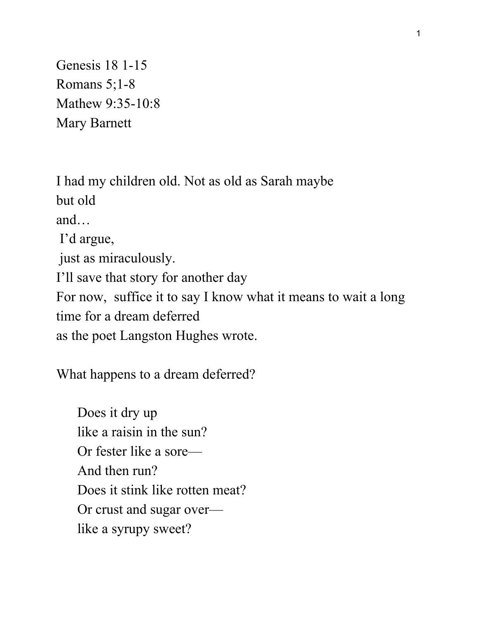Genesis 18 1-15 Romans 5;1-8 Mathew 9:35-10:8 Mary Barnett

I had my children old. Not as old as Sarah maybe but old and… I'd argue, just as miraculously. I'll save that story for another day For now, suffice it to say I know what it means to wait a long time for a dream deferred as the poet Langston Hughes wrote.

What happens to a dream deferred?

 Does it dry up like a raisin in the sun? Or fester like a sore— And then run? Does it stink like rotten meat? Or crust and sugar over like a syrupy sweet?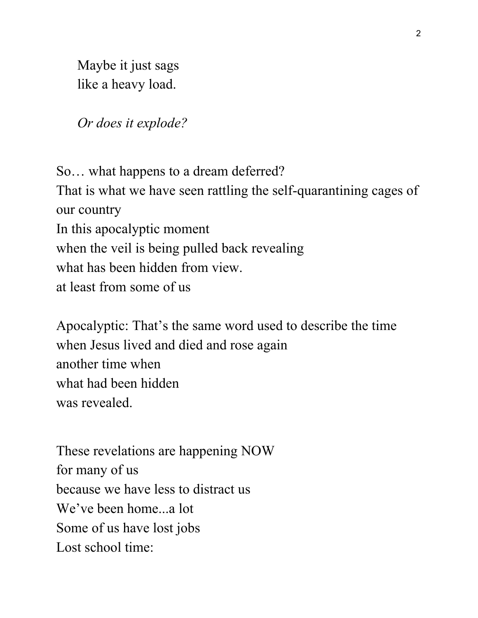Maybe it just sags like a heavy load.

*Or does it explode?*

So… what happens to a dream deferred? That is what we have seen rattling the self-quarantining cages of our country In this apocalyptic moment when the veil is being pulled back revealing what has been hidden from view. at least from some of us

Apocalyptic: That's the same word used to describe the time when Jesus lived and died and rose again another time when what had been hidden was revealed.

These revelations are happening NOW for many of us because we have less to distract us We've been home...a lot Some of us have lost jobs Lost school time: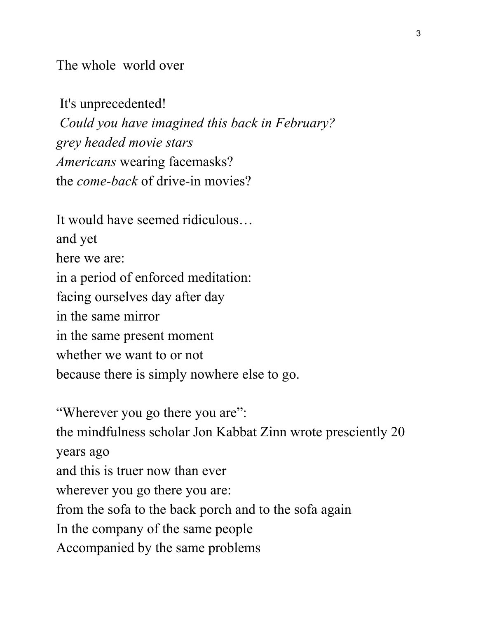The whole world over

 It's unprecedented! *Could you have imagined this back in February? grey headed movie stars Americans* wearing facemasks? the *come-back* of drive-in movies?

It would have seemed ridiculous… and yet here we are: in a period of enforced meditation: facing ourselves day after day in the same mirror in the same present moment whether we want to or not because there is simply nowhere else to go.

"Wherever you go there you are": the mindfulness scholar Jon Kabbat Zinn wrote presciently 20 years ago and this is truer now than ever wherever you go there you are: from the sofa to the back porch and to the sofa again In the company of the same people Accompanied by the same problems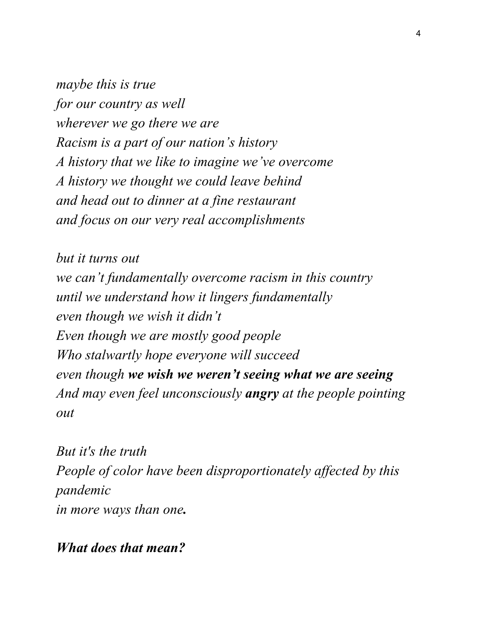*maybe this is true for our country as well wherever we go there we are Racism is a part of our nation's history A history that we like to imagine we've overcome A history we thought we could leave behind and head out to dinner at a fine restaurant and focus on our very real accomplishments*

*but it turns out we can't fundamentally overcome racism in this country until we understand how it lingers fundamentally even though we wish it didn't Even though we are mostly good people Who stalwartly hope everyone will succeed even though we wish we weren't seeing what we are seeing And may even feel unconsciously angry at the people pointing out*

*But it's the truth People of color have been disproportionately affected by this pandemic in more ways than one.*

*What does that mean?*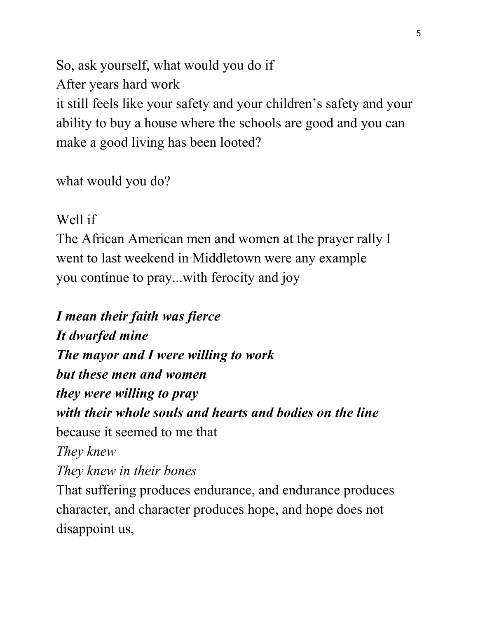So, ask yourself, what would you do if After years hard work it still feels like your safety and your children's safety and your ability to buy a house where the schools are good and you can make a good living has been looted?

what would you do?

Well if

The African American men and women at the prayer rally I went to last weekend in Middletown were any example you continue to pray...with ferocity and joy

*I mean their faith was fierce It dwarfed mine The mayor and I were willing to work but these men and women they were willing to pray with their whole souls and hearts and bodies on the line* because it seemed to me that *They knew They knew in their bones* That suffering produces endurance, and endurance produces

character, and character produces hope, and hope does not disappoint us,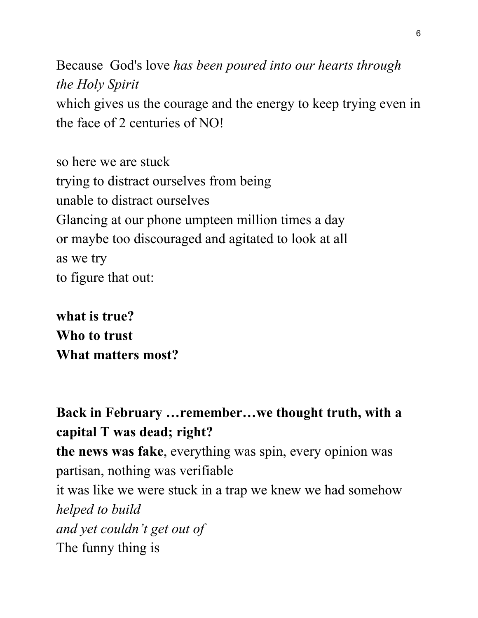Because God's love *has been poured into our hearts through the Holy Spirit* which gives us the courage and the energy to keep trying even in the face of 2 centuries of NO!

so here we are stuck trying to distract ourselves from being unable to distract ourselves Glancing at our phone umpteen million times a day or maybe too discouraged and agitated to look at all as we try to figure that out:

**what is true? Who to trust What matters most?**

**Back in February …remember…we thought truth, with a capital T was dead; right? the news was fake**, everything was spin, every opinion was partisan, nothing was verifiable it was like we were stuck in a trap we knew we had somehow *helped to build and yet couldn't get out of* The funny thing is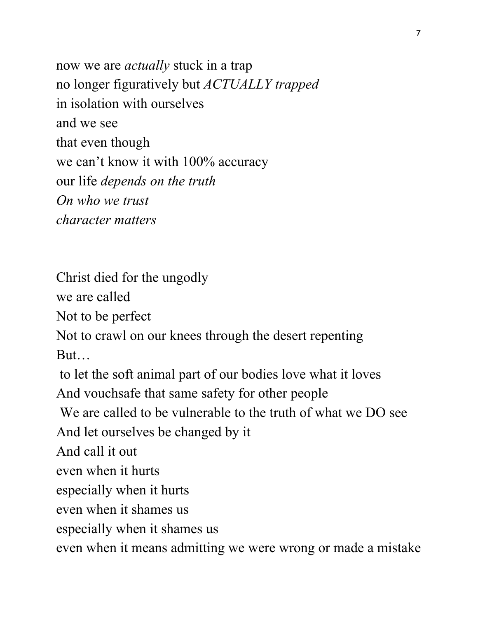now we are *actually* stuck in a trap no longer figuratively but *ACTUALLY trapped* in isolation with ourselves and we see that even though we can't know it with 100% accuracy our life *depends on the truth On who we trust character matters*

Christ died for the ungodly

we are called

Not to be perfect

Not to crawl on our knees through the desert repenting But…

to let the soft animal part of our bodies love what it loves

And vouchsafe that same safety for other people

We are called to be vulnerable to the truth of what we DO see

And let ourselves be changed by it

And call it out

even when it hurts

especially when it hurts

even when it shames us

especially when it shames us

even when it means admitting we were wrong or made a mistake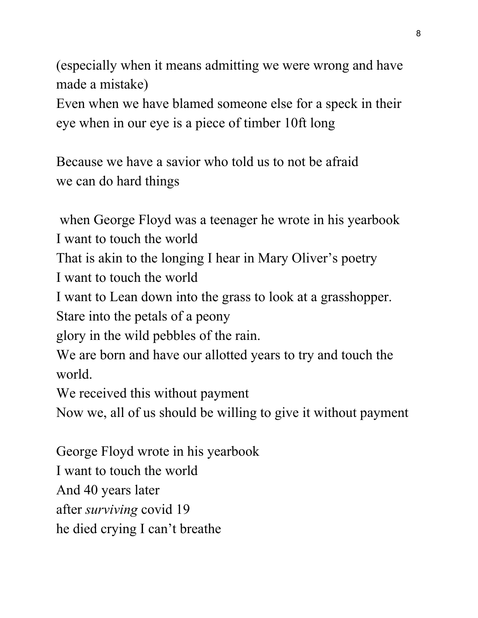(especially when it means admitting we were wrong and have made a mistake)

Even when we have blamed someone else for a speck in their eye when in our eye is a piece of timber 10ft long

Because we have a savior who told us to not be afraid we can do hard things

 when George Floyd was a teenager he wrote in his yearbook I want to touch the world

That is akin to the longing I hear in Mary Oliver's poetry

I want to touch the world

I want to Lean down into the grass to look at a grasshopper.

Stare into the petals of a peony

glory in the wild pebbles of the rain.

We are born and have our allotted years to try and touch the world.

We received this without payment

Now we, all of us should be willing to give it without payment

George Floyd wrote in his yearbook I want to touch the world And 40 years later after *surviving* covid 19 he died crying I can't breathe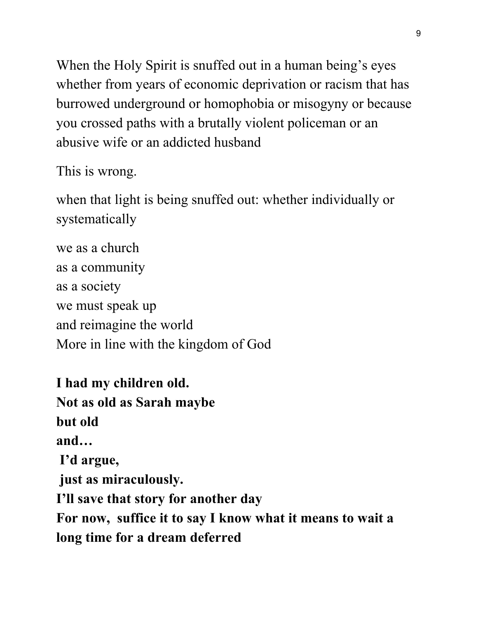When the Holy Spirit is snuffed out in a human being's eyes whether from years of economic deprivation or racism that has burrowed underground or homophobia or misogyny or because you crossed paths with a brutally violent policeman or an abusive wife or an addicted husband

This is wrong.

when that light is being snuffed out: whether individually or systematically

we as a church as a community as a society we must speak up and reimagine the world More in line with the kingdom of God

**I had my children old. Not as old as Sarah maybe but old and… I'd argue, just as miraculously. I'll save that story for another day For now, suffice it to say I know what it means to wait a long time for a dream deferred**